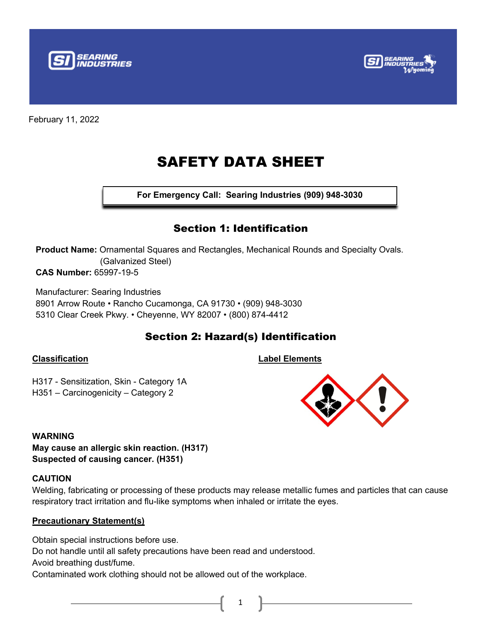



# SAFETY DATA SHEET

**For Emergency Call: Searing Industries (909) 948-3030**

### Section 1: Identification

**Product Name:** Ornamental Squares and Rectangles, Mechanical Rounds and Specialty Ovals. (Galvanized Steel) **CAS Number:** 65997-19-5

Manufacturer: Searing Industries 8901 Arrow Route • Rancho Cucamonga, CA 91730 • (909) 948-3030 5310 Clear Creek Pkwy. • Cheyenne, WY 82007 • (800) 874-4412

# Section 2: Hazard(s) Identification

### **Classification**

**Label Elements**

H317 - Sensitization, Skin - Category 1A H351 – Carcinogenicity – Category 2

### **WARNING**

**May cause an allergic skin reaction. (H317) Suspected of causing cancer. (H351)**

### **CAUTION**

Welding, fabricating or processing of these products may release metallic fumes and particles that can cause respiratory tract irritation and flu-like symptoms when inhaled or irritate the eyes.

1

### **Precautionary Statement(s)**

Obtain special instructions before use. Do not handle until all safety precautions have been read and understood. Avoid breathing dust/fume.

Contaminated work clothing should not be allowed out of the workplace.

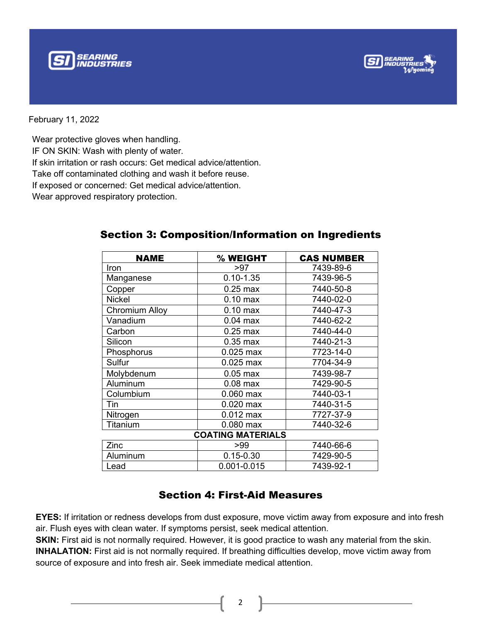



Wear protective gloves when handling.

IF ON SKIN: Wash with plenty of water.

If skin irritation or rash occurs: Get medical advice/attention.

Take off contaminated clothing and wash it before reuse.

If exposed or concerned: Get medical advice/attention.

Wear approved respiratory protection.

| <b>NAME</b>              | % WEIGHT           | <b>CAS NUMBER</b> |  |  |  |
|--------------------------|--------------------|-------------------|--|--|--|
| Iron                     | >97                | 7439-89-6         |  |  |  |
| Manganese                | $0.10 - 1.35$      | 7439-96-5         |  |  |  |
| Copper                   | $0.25$ max         | 7440-50-8         |  |  |  |
| Nickel                   | $0.10$ max         | 7440-02-0         |  |  |  |
| Chromium Alloy           | $0.10 \text{ max}$ | 7440-47-3         |  |  |  |
| Vanadium                 | $0.04$ max         | 7440-62-2         |  |  |  |
| Carbon                   | $0.25$ max         | 7440-44-0         |  |  |  |
| Silicon                  | $0.35$ max         | 7440-21-3         |  |  |  |
| Phosphorus               | $0.025$ max        | 7723-14-0         |  |  |  |
| Sulfur                   | $0.025$ max        | 7704-34-9         |  |  |  |
| Molybdenum               | $0.05$ max         | 7439-98-7         |  |  |  |
| Aluminum                 | $0.08$ max         | 7429-90-5         |  |  |  |
| Columbium                | $0.060$ max        | 7440-03-1         |  |  |  |
| Tin                      | $0.020$ max        | 7440-31-5         |  |  |  |
| Nitrogen                 | $0.012$ max        | 7727-37-9         |  |  |  |
| Titanium                 | $0.080$ max        | 7440-32-6         |  |  |  |
| <b>COATING MATERIALS</b> |                    |                   |  |  |  |
| Zinc                     | >99                | 7440-66-6         |  |  |  |
| Aluminum                 | $0.15 - 0.30$      | 7429-90-5         |  |  |  |
| Lead                     | 0.001-0.015        | 7439-92-1         |  |  |  |

### Section 3: Composition/Information on Ingredients

### Section 4: First-Aid Measures

**EYES:** If irritation or redness develops from dust exposure, move victim away from exposure and into fresh air. Flush eyes with clean water. If symptoms persist, seek medical attention.

**SKIN:** First aid is not normally required. However, it is good practice to wash any material from the skin. **INHALATION:** First aid is not normally required. If breathing difficulties develop, move victim away from source of exposure and into fresh air. Seek immediate medical attention.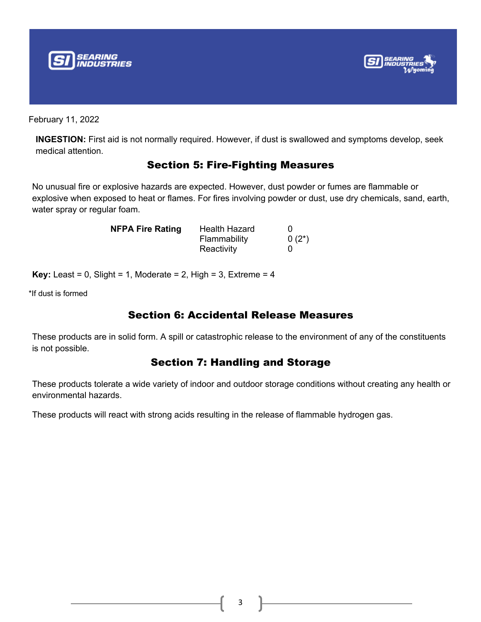



**INGESTION:** First aid is not normally required. However, if dust is swallowed and symptoms develop, seek medical attention.

### Section 5: Fire-Fighting Measures

No unusual fire or explosive hazards are expected. However, dust powder or fumes are flammable or explosive when exposed to heat or flames. For fires involving powder or dust, use dry chemicals, sand, earth, water spray or regular foam.

| <b>NFPA Fire Rating</b> | <b>Health Hazard</b> |          |
|-------------------------|----------------------|----------|
|                         | Flammability         | $0(2^*)$ |
|                         | Reactivity           |          |

**Key:** Least =  $0$ , Slight =  $1$ , Moderate =  $2$ , High =  $3$ , Extreme =  $4$ 

\*If dust is formed

### Section 6: Accidental Release Measures

These products are in solid form. A spill or catastrophic release to the environment of any of the constituents is not possible.

### Section 7: Handling and Storage

These products tolerate a wide variety of indoor and outdoor storage conditions without creating any health or environmental hazards.

These products will react with strong acids resulting in the release of flammable hydrogen gas.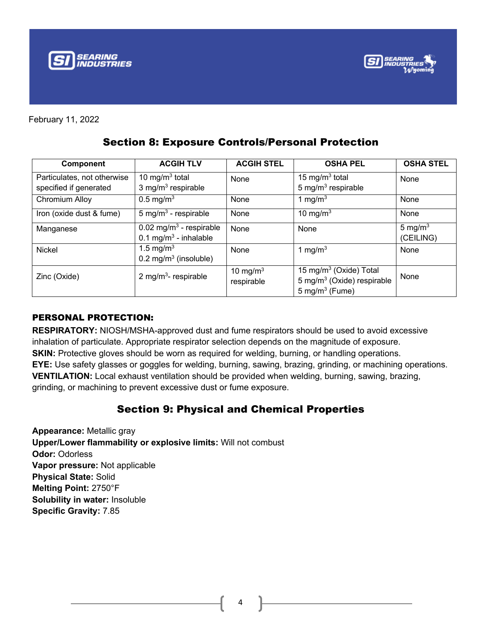



| <b>Component</b>                                      | <b>ACGIH TLV</b>                                                           | <b>ACGIH STEL</b>         | <b>OSHA PEL</b>                                                                                   | <b>OSHA STEL</b>        |
|-------------------------------------------------------|----------------------------------------------------------------------------|---------------------------|---------------------------------------------------------------------------------------------------|-------------------------|
| Particulates, not otherwise<br>specified if generated | 10 mg/m $3$ total<br>3 mg/m <sup>3</sup> respirable                        | None                      | 15 mg/m <sup>3</sup> total<br>5 mg/m <sup>3</sup> respirable                                      | None                    |
| Chromium Alloy                                        | $0.5 \text{ mg/m}^3$                                                       | None                      | 1 mg/m $3$                                                                                        | <b>None</b>             |
| Iron (oxide dust & fume)                              | 5 mg/m <sup>3</sup> - respirable                                           | None                      | 10 mg/m $3$                                                                                       | <b>None</b>             |
| Manganese                                             | $0.02$ mg/m <sup>3</sup> - respirable<br>0.1 mg/m <sup>3</sup> - inhalable | None                      | None                                                                                              | 5 mg/ $m3$<br>(CEILING) |
| Nickel                                                | 1.5 mg/m <sup>3</sup><br>$0.2 \text{ mg/m}^3$ (insoluble)                  | None                      | 1 mg/m $3$                                                                                        | None                    |
| Zinc (Oxide)                                          | 2 mg/m <sup>3</sup> - respirable                                           | 10 mg/m $3$<br>respirable | 15 mg/m <sup>3</sup> (Oxide) Total<br>5 mg/m <sup>3</sup> (Oxide) respirable<br>5 mg/m $3$ (Fume) | None                    |

### Section 8: Exposure Controls/Personal Protection

### PERSONAL PROTECTION:

**RESPIRATORY:** NIOSH/MSHA-approved dust and fume respirators should be used to avoid excessive inhalation of particulate. Appropriate respirator selection depends on the magnitude of exposure. **SKIN:** Protective gloves should be worn as required for welding, burning, or handling operations. **EYE:** Use safety glasses or goggles for welding, burning, sawing, brazing, grinding, or machining operations. **VENTILATION:** Local exhaust ventilation should be provided when welding, burning, sawing, brazing, grinding, or machining to prevent excessive dust or fume exposure.

### Section 9: Physical and Chemical Properties

**Appearance:** Metallic gray **Upper/Lower flammability or explosive limits:** Will not combust **Odor:** Odorless **Vapor pressure:** Not applicable **Physical State:** Solid **Melting Point:** 2750°F **Solubility in water:** Insoluble **Specific Gravity:** 7.85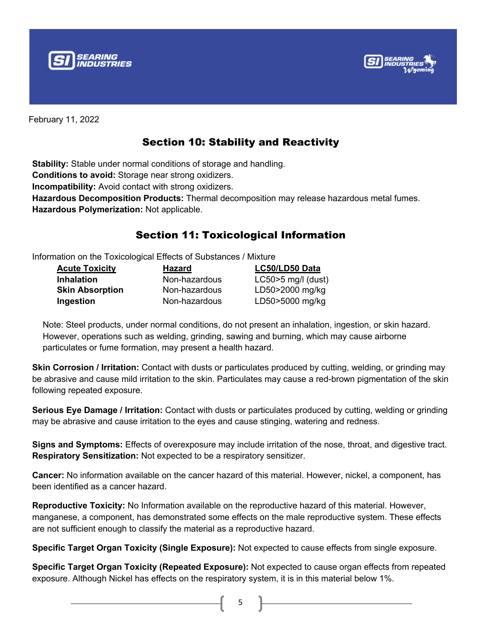



# Section 10: Stability and Reactivity

**Stability:** Stable under normal conditions of storage and handling. **Conditions to avoid:** Storage near strong oxidizers. **Incompatibility:** Avoid contact with strong oxidizers. **Hazardous Decomposition Products:** Thermal decomposition may release hazardous metal fumes. **Hazardous Polymerization:** Not applicable.

# Section 11: Toxicological Information

Information on the Toxicological Effects of Substances / Mixture

| <b>Acute Toxicity</b>  | <b>Hazard</b> | LC50/LD50 Data        |
|------------------------|---------------|-----------------------|
| <b>Inhalation</b>      | Non-hazardous | LC50 $>5$ mg/l (dust) |
| <b>Skin Absorption</b> | Non-hazardous | LD50>2000 mg/kg       |
| Ingestion              | Non-hazardous | LD50>5000 mg/kg       |

Note: Steel products, under normal conditions, do not present an inhalation, ingestion, or skin hazard. However, operations such as welding, grinding, sawing and burning, which may cause airborne particulates or fume formation, may present a health hazard.

**Skin Corrosion / Irritation:** Contact with dusts or particulates produced by cutting, welding, or grinding may be abrasive and cause mild irritation to the skin. Particulates may cause a red-brown pigmentation of the skin following repeated exposure.

**Serious Eye Damage / Irritation:** Contact with dusts or particulates produced by cutting, welding or grinding may be abrasive and cause irritation to the eyes and cause stinging, watering and redness.

**Signs and Symptoms:** Effects of overexposure may include irritation of the nose, throat, and digestive tract. **Respiratory Sensitization:** Not expected to be a respiratory sensitizer.

**Cancer:** No information available on the cancer hazard of this material. However, nickel, a component, has been identified as a cancer hazard.

**Reproductive Toxicity:** No Information available on the reproductive hazard of this material. However, manganese, a component, has demonstrated some effects on the male reproductive system. These effects are not sufficient enough to classify the material as a reproductive hazard.

**Specific Target Organ Toxicity (Single Exposure):** Not expected to cause effects from single exposure.

**Specific Target Organ Toxicity (Repeated Exposure):** Not expected to cause organ effects from repeated exposure. Although Nickel has effects on the respiratory system, it is in this material below 1%.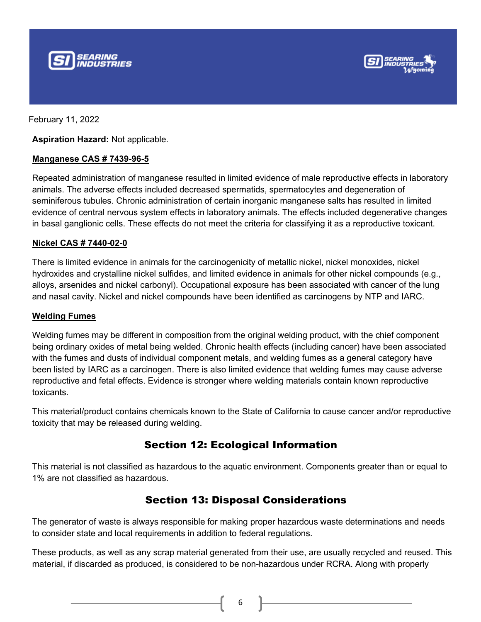



**Aspiration Hazard:** Not applicable.

#### **Manganese CAS # 7439-96-5**

Repeated administration of manganese resulted in limited evidence of male reproductive effects in laboratory animals. The adverse effects included decreased spermatids, spermatocytes and degeneration of seminiferous tubules. Chronic administration of certain inorganic manganese salts has resulted in limited evidence of central nervous system effects in laboratory animals. The effects included degenerative changes in basal ganglionic cells. These effects do not meet the criteria for classifying it as a reproductive toxicant.

#### **Nickel CAS # 7440-02-0**

There is limited evidence in animals for the carcinogenicity of metallic nickel, nickel monoxides, nickel hydroxides and crystalline nickel sulfides, and limited evidence in animals for other nickel compounds (e.g., alloys, arsenides and nickel carbonyl). Occupational exposure has been associated with cancer of the lung and nasal cavity. Nickel and nickel compounds have been identified as carcinogens by NTP and IARC.

#### **Welding Fumes**

Welding fumes may be different in composition from the original welding product, with the chief component being ordinary oxides of metal being welded. Chronic health effects (including cancer) have been associated with the fumes and dusts of individual component metals, and welding fumes as a general category have been listed by IARC as a carcinogen. There is also limited evidence that welding fumes may cause adverse reproductive and fetal effects. Evidence is stronger where welding materials contain known reproductive toxicants.

This material/product contains chemicals known to the State of California to cause cancer and/or reproductive toxicity that may be released during welding.

### Section 12: Ecological Information

This material is not classified as hazardous to the aquatic environment. Components greater than or equal to 1% are not classified as hazardous.

### Section 13: Disposal Considerations

The generator of waste is always responsible for making proper hazardous waste determinations and needs to consider state and local requirements in addition to federal regulations.

These products, as well as any scrap material generated from their use, are usually recycled and reused. This material, if discarded as produced, is considered to be non-hazardous under RCRA. Along with properly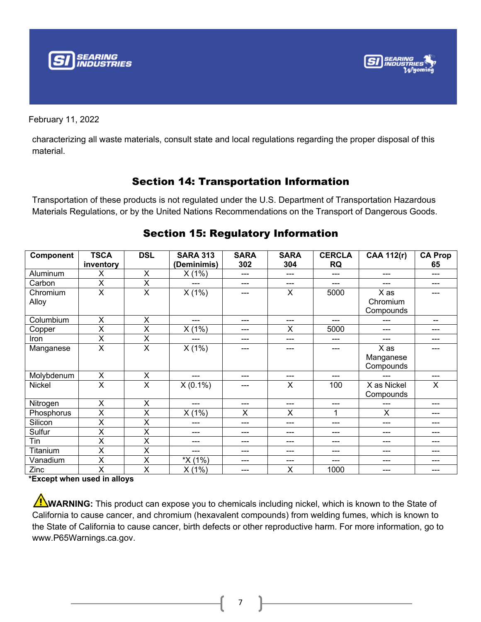



characterizing all waste materials, consult state and local regulations regarding the proper disposal of this material.

### Section 14: Transportation Information

Transportation of these products is not regulated under the U.S. Department of Transportation Hazardous Materials Regulations, or by the United Nations Recommendations on the Transport of Dangerous Goods.

| <b>Component</b>  | <b>TSCA</b><br>inventory | <b>DSL</b> | <b>SARA 313</b><br>(Deminimis) | <b>SARA</b><br>302 | <b>SARA</b><br>304 | <b>CERCLA</b><br><b>RQ</b> | <b>CAA 112(r)</b>              | <b>CA Prop</b><br>65 |
|-------------------|--------------------------|------------|--------------------------------|--------------------|--------------------|----------------------------|--------------------------------|----------------------|
| Aluminum          | X                        | X          | X(1%)                          | ---                | ---                | ---                        | ---                            | ---                  |
| Carbon            | X                        | X          | ---                            | ---                | ---                |                            |                                |                      |
| Chromium<br>Alloy | X                        | $\times$   | X(1%)                          |                    | X                  | 5000                       | X as<br>Chromium<br>Compounds  |                      |
| Columbium         | X                        | X          | ---                            | ---                | ---                | ---                        | ---                            | --                   |
| Copper            | X                        | X          | X(1%)                          | ---                | X                  | 5000                       | ---                            | ---                  |
| Iron              | X                        | X          | ---                            | ---                | ---                | ---                        | ---                            |                      |
| Manganese         | X                        | X          | X(1%)                          |                    | ---                | ---                        | X as<br>Manganese<br>Compounds |                      |
| Molybdenum        | X                        | X          | ---                            | ---                | ---                | ---                        | ---                            | ---                  |
| Nickel            | X                        | X          | $X(0.1\%)$                     | ---                | X                  | 100                        | X as Nickel<br>Compounds       | X                    |
| Nitrogen          | X                        | X          | ---                            | ---                | ---                | ---                        | ---                            | ---                  |
| Phosphorus        | X                        | X          | X(1%)                          | X                  | X                  | 1                          | X                              | ---                  |
| Silicon           | X                        | X          | ---                            | ---                | ---                | ---                        | ---                            | ---                  |
| Sulfur            | X                        | X          | ---                            | ---                | ---                | ---                        | ---                            | ---                  |
| Tin               | X                        | X          | ---                            | ---                | ---                | ---                        | ---                            | ---                  |
| Titanium          | X                        | X          | ---                            | ---                | ---                | ---                        | ---                            | ---                  |
| Vanadium          | X                        | X          | *X (1%)                        | ---                | ---                | ---                        | ---                            |                      |
| Zinc              | X                        | X          | X(1%)                          | ---                | X                  | 1000                       | ---                            |                      |

### Section 15: Regulatory Information

**\*Except when used in alloys**

WARNING: This product can expose you to chemicals including nickel, which is known to the State of California to cause cancer, and chromium (hexavalent compounds) from welding fumes, which is known to the State of California to cause cancer, birth defects or other reproductive harm. For more information, go to www.P65Warnings.ca.gov.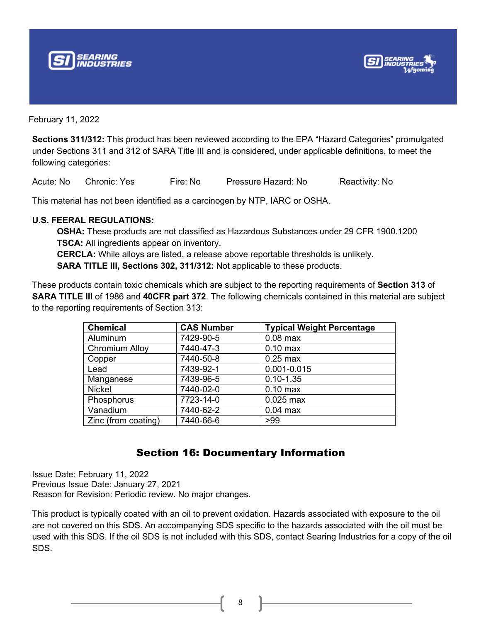



**Sections 311/312:** This product has been reviewed according to the EPA "Hazard Categories" promulgated under Sections 311 and 312 of SARA Title III and is considered, under applicable definitions, to meet the following categories:

Acute: No Chronic: Yes Fire: No Pressure Hazard: No Reactivity: No

This material has not been identified as a carcinogen by NTP, IARC or OSHA.

#### **U.S. FEERAL REGULATIONS:**

**OSHA:** These products are not classified as Hazardous Substances under 29 CFR 1900.1200 **TSCA:** All ingredients appear on inventory. **CERCLA:** While alloys are listed, a release above reportable thresholds is unlikely.

**SARA TITLE III, Sections 302, 311/312:** Not applicable to these products.

These products contain toxic chemicals which are subject to the reporting requirements of **Section 313** of **SARA TITLE III** of 1986 and **40CFR part 372**. The following chemicals contained in this material are subject to the reporting requirements of Section 313:

| <b>Chemical</b>       | <b>CAS Number</b> | <b>Typical Weight Percentage</b> |
|-----------------------|-------------------|----------------------------------|
| Aluminum              | 7429-90-5         | $0.08$ max                       |
| <b>Chromium Alloy</b> | 7440-47-3         | $0.10$ max                       |
| Copper                | 7440-50-8         | $0.25$ max                       |
| Lead                  | 7439-92-1         | 0.001-0.015                      |
| Manganese             | 7439-96-5         | $0.10 - 1.35$                    |
| <b>Nickel</b>         | 7440-02-0         | $0.10$ max                       |
| Phosphorus            | 7723-14-0         | $0.025$ max                      |
| Vanadium              | 7440-62-2         | $0.04$ max                       |
| Zinc (from coating)   | 7440-66-6         | >99                              |

### Section 16: Documentary Information

Issue Date: February 11, 2022 Previous Issue Date: January 27, 2021 Reason for Revision: Periodic review. No major changes.

This product is typically coated with an oil to prevent oxidation. Hazards associated with exposure to the oil are not covered on this SDS. An accompanying SDS specific to the hazards associated with the oil must be used with this SDS. If the oil SDS is not included with this SDS, contact Searing Industries for a copy of the oil SDS.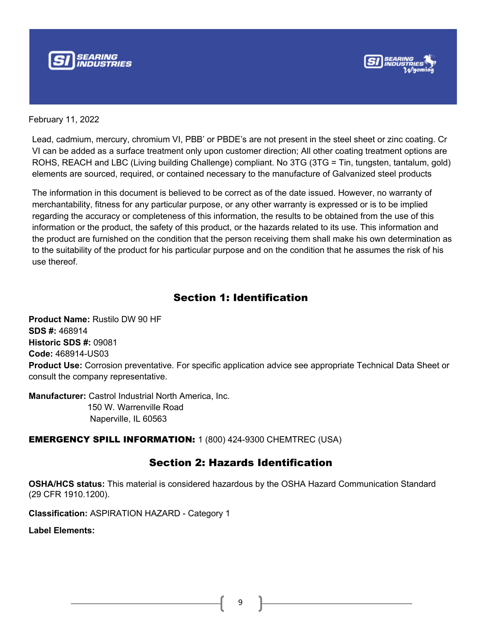



Lead, cadmium, mercury, chromium VI, PBB' or PBDE's are not present in the steel sheet or zinc coating. Cr VI can be added as a surface treatment only upon customer direction; All other coating treatment options are ROHS, REACH and LBC (Living building Challenge) compliant. No 3TG (3TG = Tin, tungsten, tantalum, gold) elements are sourced, required, or contained necessary to the manufacture of Galvanized steel products

The information in this document is believed to be correct as of the date issued. However, no warranty of merchantability, fitness for any particular purpose, or any other warranty is expressed or is to be implied regarding the accuracy or completeness of this information, the results to be obtained from the use of this information or the product, the safety of this product, or the hazards related to its use. This information and the product are furnished on the condition that the person receiving them shall make his own determination as to the suitability of the product for his particular purpose and on the condition that he assumes the risk of his use thereof.

### Section 1: Identification

**Product Name:** Rustilo DW 90 HF **SDS #:** 468914 **Historic SDS #:** 09081 **Code:** 468914-US03 **Product Use:** Corrosion preventative. For specific application advice see appropriate Technical Data Sheet or consult the company representative.

**Manufacturer:** Castrol Industrial North America, Inc. 150 W. Warrenville Road Naperville, IL 60563

EMERGENCY SPILL INFORMATION: 1 (800) 424-9300 CHEMTREC (USA)

### Section 2: Hazards Identification

**OSHA/HCS status:** This material is considered hazardous by the OSHA Hazard Communication Standard (29 CFR 1910.1200).

**Classification:** ASPIRATION HAZARD - Category 1

**Label Elements:**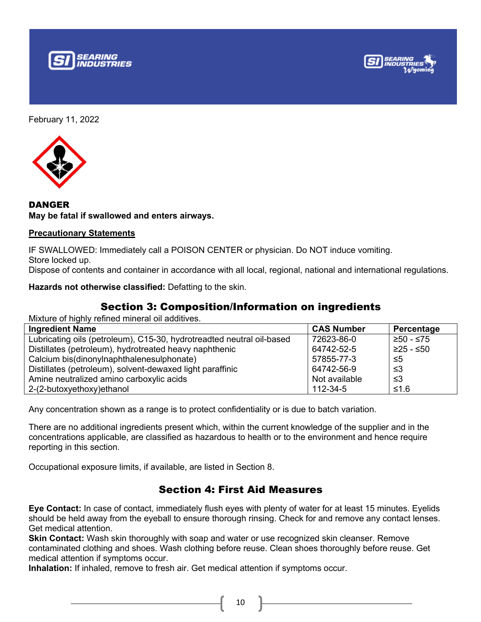





DANGER **May be fatal if swallowed and enters airways.**

#### **Precautionary Statements**

IF SWALLOWED: Immediately call a POISON CENTER or physician. Do NOT induce vomiting. Store locked up.

Dispose of contents and container in accordance with all local, regional, national and international regulations.

**Hazards not otherwise classified:** Defatting to the skin.

### Section 3: Composition/Information on ingredients

Mixture of highly refined mineral oil additives.

| <b>Ingredient Name</b>                                                | <b>CAS Number</b> | Percentage  |
|-----------------------------------------------------------------------|-------------------|-------------|
| Lubricating oils (petroleum), C15-30, hydrotreadted neutral oil-based | 72623-86-0        | ' ≥50 - ≤75 |
| Distillates (petroleum), hydrotreated heavy naphthenic                | 64742-52-5        | ≥25 - ≤50   |
| Calcium bis(dinonylnaphthalenesulphonate)                             | 57855-77-3        | $\leq 5$    |
| Distillates (petroleum), solvent-dewaxed light paraffinic             | 64742-56-9        | -≤3         |
| Amine neutralized amino carboxylic acids                              | Not available     | -≤3         |
| 2-(2-butoxyethoxy)ethanol                                             | 112-34-5          | ≤1.6        |

Any concentration shown as a range is to protect confidentiality or is due to batch variation.

There are no additional ingredients present which, within the current knowledge of the supplier and in the concentrations applicable, are classified as hazardous to health or to the environment and hence require reporting in this section.

Occupational exposure limits, if available, are listed in Section 8.

### Section 4: First Aid Measures

**Eye Contact:** In case of contact, immediately flush eyes with plenty of water for at least 15 minutes. Eyelids should be held away from the eyeball to ensure thorough rinsing. Check for and remove any contact lenses. Get medical attention.

**Skin Contact:** Wash skin thoroughly with soap and water or use recognized skin cleanser. Remove contaminated clothing and shoes. Wash clothing before reuse. Clean shoes thoroughly before reuse. Get medical attention if symptoms occur.

**Inhalation:** If inhaled, remove to fresh air. Get medical attention if symptoms occur.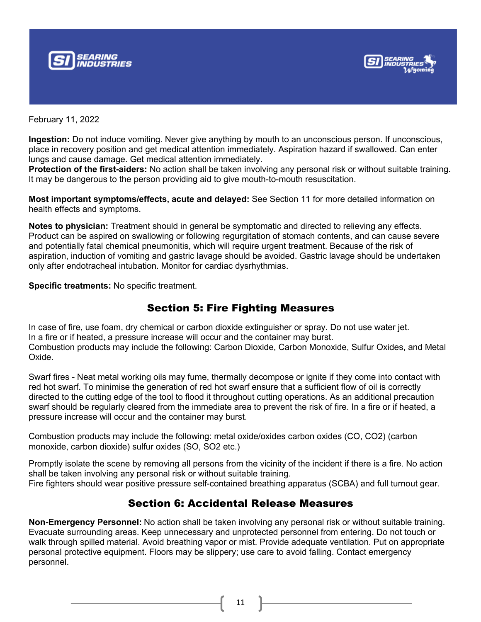



**Ingestion:** Do not induce vomiting. Never give anything by mouth to an unconscious person. If unconscious, place in recovery position and get medical attention immediately. Aspiration hazard if swallowed. Can enter lungs and cause damage. Get medical attention immediately.

**Protection of the first-aiders:** No action shall be taken involving any personal risk or without suitable training. It may be dangerous to the person providing aid to give mouth-to-mouth resuscitation.

**Most important symptoms/effects, acute and delayed:** See Section 11 for more detailed information on health effects and symptoms.

**Notes to physician:** Treatment should in general be symptomatic and directed to relieving any effects. Product can be aspired on swallowing or following regurgitation of stomach contents, and can cause severe and potentially fatal chemical pneumonitis, which will require urgent treatment. Because of the risk of aspiration, induction of vomiting and gastric lavage should be avoided. Gastric lavage should be undertaken only after endotracheal intubation. Monitor for cardiac dysrhythmias.

**Specific treatments:** No specific treatment.

### Section 5: Fire Fighting Measures

In case of fire, use foam, dry chemical or carbon dioxide extinguisher or spray. Do not use water jet. In a fire or if heated, a pressure increase will occur and the container may burst. Combustion products may include the following: Carbon Dioxide, Carbon Monoxide, Sulfur Oxides, and Metal Oxide.

Swarf fires - Neat metal working oils may fume, thermally decompose or ignite if they come into contact with red hot swarf. To minimise the generation of red hot swarf ensure that a sufficient flow of oil is correctly directed to the cutting edge of the tool to flood it throughout cutting operations. As an additional precaution swarf should be regularly cleared from the immediate area to prevent the risk of fire. In a fire or if heated, a pressure increase will occur and the container may burst.

Combustion products may include the following: metal oxide/oxides carbon oxides (CO, CO2) (carbon monoxide, carbon dioxide) sulfur oxides (SO, SO2 etc.)

Promptly isolate the scene by removing all persons from the vicinity of the incident if there is a fire. No action shall be taken involving any personal risk or without suitable training. Fire fighters should wear positive pressure self-contained breathing apparatus (SCBA) and full turnout gear.

### Section 6: Accidental Release Measures

**Non-Emergency Personnel:** No action shall be taken involving any personal risk or without suitable training. Evacuate surrounding areas. Keep unnecessary and unprotected personnel from entering. Do not touch or walk through spilled material. Avoid breathing vapor or mist. Provide adequate ventilation. Put on appropriate personal protective equipment. Floors may be slippery; use care to avoid falling. Contact emergency personnel.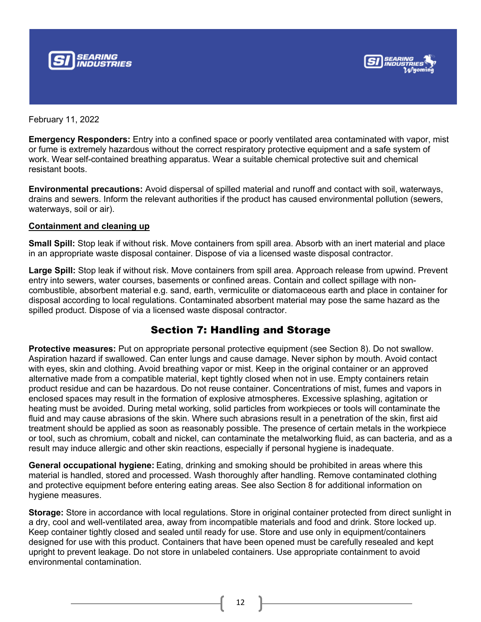



**Emergency Responders:** Entry into a confined space or poorly ventilated area contaminated with vapor, mist or fume is extremely hazardous without the correct respiratory protective equipment and a safe system of work. Wear self-contained breathing apparatus. Wear a suitable chemical protective suit and chemical resistant boots.

**Environmental precautions:** Avoid dispersal of spilled material and runoff and contact with soil, waterways, drains and sewers. Inform the relevant authorities if the product has caused environmental pollution (sewers, waterways, soil or air).

#### **Containment and cleaning up**

**Small Spill:** Stop leak if without risk. Move containers from spill area. Absorb with an inert material and place in an appropriate waste disposal container. Dispose of via a licensed waste disposal contractor.

**Large Spill:** Stop leak if without risk. Move containers from spill area. Approach release from upwind. Prevent entry into sewers, water courses, basements or confined areas. Contain and collect spillage with noncombustible, absorbent material e.g. sand, earth, vermiculite or diatomaceous earth and place in container for disposal according to local regulations. Contaminated absorbent material may pose the same hazard as the spilled product. Dispose of via a licensed waste disposal contractor.

### Section 7: Handling and Storage

**Protective measures:** Put on appropriate personal protective equipment (see Section 8). Do not swallow. Aspiration hazard if swallowed. Can enter lungs and cause damage. Never siphon by mouth. Avoid contact with eyes, skin and clothing. Avoid breathing vapor or mist. Keep in the original container or an approved alternative made from a compatible material, kept tightly closed when not in use. Empty containers retain product residue and can be hazardous. Do not reuse container. Concentrations of mist, fumes and vapors in enclosed spaces may result in the formation of explosive atmospheres. Excessive splashing, agitation or heating must be avoided. During metal working, solid particles from workpieces or tools will contaminate the fluid and may cause abrasions of the skin. Where such abrasions result in a penetration of the skin, first aid treatment should be applied as soon as reasonably possible. The presence of certain metals in the workpiece or tool, such as chromium, cobalt and nickel, can contaminate the metalworking fluid, as can bacteria, and as a result may induce allergic and other skin reactions, especially if personal hygiene is inadequate.

**General occupational hygiene:** Eating, drinking and smoking should be prohibited in areas where this material is handled, stored and processed. Wash thoroughly after handling. Remove contaminated clothing and protective equipment before entering eating areas. See also Section 8 for additional information on hygiene measures.

**Storage:** Store in accordance with local regulations. Store in original container protected from direct sunlight in a dry, cool and well-ventilated area, away from incompatible materials and food and drink. Store locked up. Keep container tightly closed and sealed until ready for use. Store and use only in equipment/containers designed for use with this product. Containers that have been opened must be carefully resealed and kept upright to prevent leakage. Do not store in unlabeled containers. Use appropriate containment to avoid environmental contamination.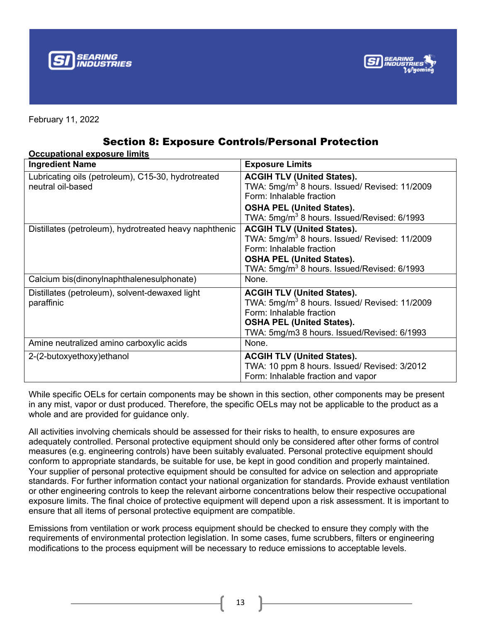



### Section 8: Exposure Controls/Personal Protection

| <b>Occupational exposure limits</b><br><b>Ingredient Name</b>           | <b>Exposure Limits</b>                                                                                                                                                                                                    |
|-------------------------------------------------------------------------|---------------------------------------------------------------------------------------------------------------------------------------------------------------------------------------------------------------------------|
| Lubricating oils (petroleum), C15-30, hydrotreated<br>neutral oil-based | <b>ACGIH TLV (United States).</b><br>TWA: $5mg/m3$ 8 hours. Issued/ Revised: 11/2009<br>Form: Inhalable fraction<br><b>OSHA PEL (United States).</b>                                                                      |
|                                                                         | TWA: 5mg/m <sup>3</sup> 8 hours. Issued/Revised: 6/1993                                                                                                                                                                   |
| Distillates (petroleum), hydrotreated heavy naphthenic                  | <b>ACGIH TLV (United States).</b><br>TWA: 5mg/m <sup>3</sup> 8 hours. Issued/ Revised: 11/2009<br>Form: Inhalable fraction<br><b>OSHA PEL (United States).</b><br>TWA: 5mg/m <sup>3</sup> 8 hours. Issued/Revised: 6/1993 |
| Calcium bis(dinonylnaphthalenesulphonate)                               | None.                                                                                                                                                                                                                     |
| Distillates (petroleum), solvent-dewaxed light<br>paraffinic            | <b>ACGIH TLV (United States).</b><br>TWA: 5mg/m <sup>3</sup> 8 hours. Issued/ Revised: 11/2009<br>Form: Inhalable fraction<br><b>OSHA PEL (United States).</b><br>TWA: 5mg/m3 8 hours. Issued/Revised: 6/1993             |
| Amine neutralized amino carboxylic acids                                | None.                                                                                                                                                                                                                     |
| 2-(2-butoxyethoxy) ethanol                                              | <b>ACGIH TLV (United States).</b><br>TWA: 10 ppm 8 hours. Issued/ Revised: 3/2012<br>Form: Inhalable fraction and vapor                                                                                                   |

While specific OELs for certain components may be shown in this section, other components may be present in any mist, vapor or dust produced. Therefore, the specific OELs may not be applicable to the product as a whole and are provided for guidance only.

All activities involving chemicals should be assessed for their risks to health, to ensure exposures are adequately controlled. Personal protective equipment should only be considered after other forms of control measures (e.g. engineering controls) have been suitably evaluated. Personal protective equipment should conform to appropriate standards, be suitable for use, be kept in good condition and properly maintained. Your supplier of personal protective equipment should be consulted for advice on selection and appropriate standards. For further information contact your national organization for standards. Provide exhaust ventilation or other engineering controls to keep the relevant airborne concentrations below their respective occupational exposure limits. The final choice of protective equipment will depend upon a risk assessment. It is important to ensure that all items of personal protective equipment are compatible.

Emissions from ventilation or work process equipment should be checked to ensure they comply with the requirements of environmental protection legislation. In some cases, fume scrubbers, filters or engineering modifications to the process equipment will be necessary to reduce emissions to acceptable levels.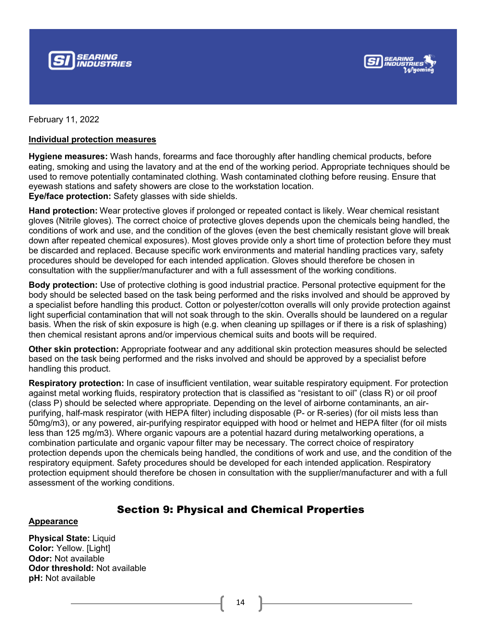



#### **Individual protection measures**

**Hygiene measures:** Wash hands, forearms and face thoroughly after handling chemical products, before eating, smoking and using the lavatory and at the end of the working period. Appropriate techniques should be used to remove potentially contaminated clothing. Wash contaminated clothing before reusing. Ensure that eyewash stations and safety showers are close to the workstation location. **Eye/face protection:** Safety glasses with side shields.

**Hand protection:** Wear protective gloves if prolonged or repeated contact is likely. Wear chemical resistant gloves (Nitrile gloves). The correct choice of protective gloves depends upon the chemicals being handled, the conditions of work and use, and the condition of the gloves (even the best chemically resistant glove will break down after repeated chemical exposures). Most gloves provide only a short time of protection before they must be discarded and replaced. Because specific work environments and material handling practices vary, safety procedures should be developed for each intended application. Gloves should therefore be chosen in consultation with the supplier/manufacturer and with a full assessment of the working conditions.

**Body protection:** Use of protective clothing is good industrial practice. Personal protective equipment for the body should be selected based on the task being performed and the risks involved and should be approved by a specialist before handling this product. Cotton or polyester/cotton overalls will only provide protection against light superficial contamination that will not soak through to the skin. Overalls should be laundered on a regular basis. When the risk of skin exposure is high (e.g. when cleaning up spillages or if there is a risk of splashing) then chemical resistant aprons and/or impervious chemical suits and boots will be required.

**Other skin protection:** Appropriate footwear and any additional skin protection measures should be selected based on the task being performed and the risks involved and should be approved by a specialist before handling this product.

**Respiratory protection:** In case of insufficient ventilation, wear suitable respiratory equipment. For protection against metal working fluids, respiratory protection that is classified as "resistant to oil" (class R) or oil proof (class P) should be selected where appropriate. Depending on the level of airborne contaminants, an airpurifying, half-mask respirator (with HEPA filter) including disposable (P- or R-series) (for oil mists less than 50mg/m3), or any powered, air-purifying respirator equipped with hood or helmet and HEPA filter (for oil mists less than 125 mg/m3). Where organic vapours are a potential hazard during metalworking operations, a combination particulate and organic vapour filter may be necessary. The correct choice of respiratory protection depends upon the chemicals being handled, the conditions of work and use, and the condition of the respiratory equipment. Safety procedures should be developed for each intended application. Respiratory protection equipment should therefore be chosen in consultation with the supplier/manufacturer and with a full assessment of the working conditions.

### Section 9: Physical and Chemical Properties

#### **Appearance**

**Physical State:** Liquid **Color:** Yellow. [Light] **Odor:** Not available **Odor threshold:** Not available **pH:** Not available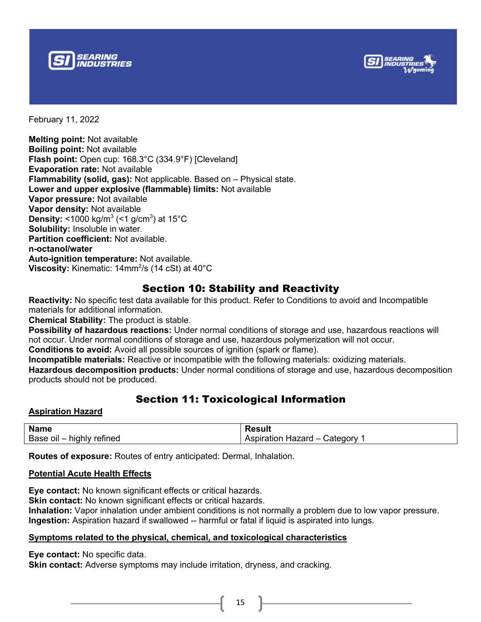



**Melting point:** Not available **Boiling point:** Not available **Flash point:** Open cup: 168.3°C (334.9°F) [Cleveland] **Evaporation rate:** Not available **Flammability (solid, gas):** Not applicable. Based on – Physical state. **Lower and upper explosive (flammable) limits:** Not available **Vapor pressure:** Not available **Vapor density:** Not available **Density:** <1000 kg/m $3$  (<1 g/cm $3$ ) at 15 $^{\circ}$ C **Solubility:** Insoluble in water. **Partition coefficient:** Not available. **n-octanol/water Auto-ignition temperature:** Not available. **Viscosity:** Kinematic: 14mm<sup>2</sup>/s (14 cSt) at 40°C

### Section 10: Stability and Reactivity

**Reactivity:** No specific test data available for this product. Refer to Conditions to avoid and Incompatible materials for additional information.

**Chemical Stability:** The product is stable.

**Possibility of hazardous reactions:** Under normal conditions of storage and use, hazardous reactions will not occur. Under normal conditions of storage and use, hazardous polymerization will not occur.

**Conditions to avoid:** Avoid all possible sources of ignition (spark or flame).

**Incompatible materials:** Reactive or incompatible with the following materials: oxidizing materials.

**Hazardous decomposition products:** Under normal conditions of storage and use, hazardous decomposition products should not be produced.

### Section 11: Toxicological Information

#### **Aspiration Hazard**

| <b>Name</b>               | <b>Result</b>                   |
|---------------------------|---------------------------------|
| Base oil – highly refined | Aspiration Hazard -<br>Category |

**Routes of exposure:** Routes of entry anticipated: Dermal, Inhalation.

#### **Potential Acute Health Effects**

**Eye contact:** No known significant effects or critical hazards. **Skin contact:** No known significant effects or critical hazards. **Inhalation:** Vapor inhalation under ambient conditions is not normally a problem due to low vapor pressure. **Ingestion:** Aspiration hazard if swallowed -- harmful or fatal if liquid is aspirated into lungs.

#### **Symptoms related to the physical, chemical, and toxicological characteristics**

**Eye contact:** No specific data.

**Skin contact:** Adverse symptoms may include irritation, dryness, and cracking.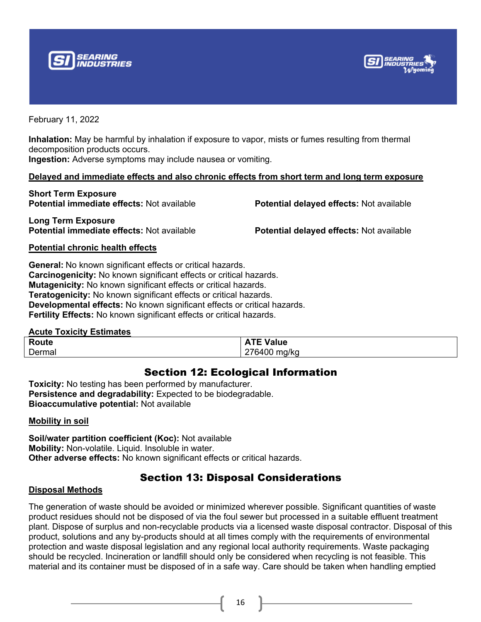



**Inhalation:** May be harmful by inhalation if exposure to vapor, mists or fumes resulting from thermal decomposition products occurs.

**Ingestion:** Adverse symptoms may include nausea or vomiting.

#### **Delayed and immediate effects and also chronic effects from short term and long term exposure**

**Short Term Exposure Potential immediate effects:** Not available **Potential delayed effects:** Not available

**Long Term Exposure Potential immediate effects:** Not available **Potential delayed effects:** Not available

#### **Potential chronic health effects**

**General:** No known significant effects or critical hazards. **Carcinogenicity:** No known significant effects or critical hazards. **Mutagenicity:** No known significant effects or critical hazards. **Teratogenicity:** No known significant effects or critical hazards. **Developmental effects:** No known significant effects or critical hazards. **Fertility Effects:** No known significant effects or critical hazards.

#### **Acute Toxicity Estimates**

| Route  | TE Value<br>.                 |
|--------|-------------------------------|
| Dermal | 276400<br>mq/ka<br>. .<br>. . |

### Section 12: Ecological Information

**Toxicity:** No testing has been performed by manufacturer. **Persistence and degradability:** Expected to be biodegradable. **Bioaccumulative potential:** Not available

#### **Mobility in soil**

**Soil/water partition coefficient (Koc):** Not available **Mobility:** Non-volatile. Liquid. Insoluble in water. **Other adverse effects:** No known significant effects or critical hazards.

### Section 13: Disposal Considerations

#### **Disposal Methods**

The generation of waste should be avoided or minimized wherever possible. Significant quantities of waste product residues should not be disposed of via the foul sewer but processed in a suitable effluent treatment plant. Dispose of surplus and non-recyclable products via a licensed waste disposal contractor. Disposal of this product, solutions and any by-products should at all times comply with the requirements of environmental protection and waste disposal legislation and any regional local authority requirements. Waste packaging should be recycled. Incineration or landfill should only be considered when recycling is not feasible. This material and its container must be disposed of in a safe way. Care should be taken when handling emptied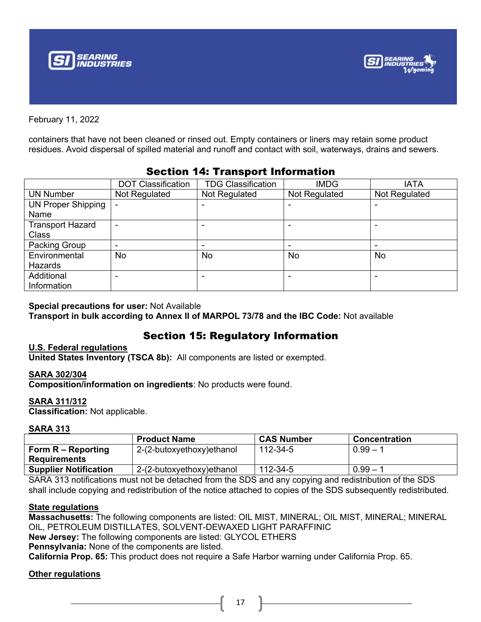



containers that have not been cleaned or rinsed out. Empty containers or liners may retain some product residues. Avoid dispersal of spilled material and runoff and contact with soil, waterways, drains and sewers.

|                           | <b>DOT Classification</b> | <b>TDG Classification</b> | <b>IMDG</b>   | <b>IATA</b>   |
|---------------------------|---------------------------|---------------------------|---------------|---------------|
| <b>UN Number</b>          | Not Regulated             | Not Regulated             | Not Regulated | Not Regulated |
| <b>UN Proper Shipping</b> |                           |                           |               |               |
| Name                      |                           |                           |               |               |
| <b>Transport Hazard</b>   |                           |                           |               |               |
| <b>Class</b>              |                           |                           |               |               |
| Packing Group             |                           |                           |               |               |
| Environmental             | <b>No</b>                 | No                        | No            | No.           |
| Hazards                   |                           |                           |               |               |
| Additional                |                           |                           |               |               |
| Information               |                           |                           |               |               |

### Section 14: Transport Information

#### **Special precautions for user:** Not Available

**Transport in bulk according to Annex II of MARPOL 73/78 and the IBC Code:** Not available

### Section 15: Regulatory Information

#### **U.S. Federal regulations**

**United States Inventory (TSCA 8b):** All components are listed or exempted.

#### **SARA 302/304**

**Composition/information on ingredients**: No products were found.

#### **SARA 311/312**

**Classification:** Not applicable.

#### **SARA 313**

|                              | <b>Product Name</b>       | <b>CAS Number</b> | <b>Concentration</b> |
|------------------------------|---------------------------|-------------------|----------------------|
| Form R – Reporting           | 2-(2-butoxyethoxy)ethanol | 112-34-5          | $0.99 - 1$           |
| <b>Requirements</b>          |                           |                   |                      |
| <b>Supplier Notification</b> | 2-(2-butoxyethoxy)ethanol | 112-34-5          | $0.99 - 1$           |

SARA 313 notifications must not be detached from the SDS and any copying and redistribution of the SDS shall include copying and redistribution of the notice attached to copies of the SDS subsequently redistributed.

#### **State regulations**

**Massachusetts:** The following components are listed: OIL MIST, MINERAL; OIL MIST, MINERAL; MINERAL OIL, PETROLEUM DISTILLATES, SOLVENT-DEWAXED LIGHT PARAFFINIC

**New Jersey:** The following components are listed: GLYCOL ETHERS

**Pennsylvania:** None of the components are listed.

**California Prop. 65:** This product does not require a Safe Harbor warning under California Prop. 65.

#### **Other regulations**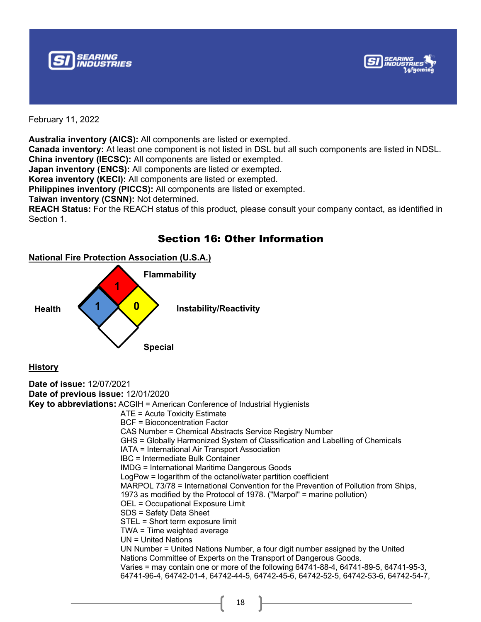



**Australia inventory (AICS):** All components are listed or exempted. **Canada inventory:** At least one component is not listed in DSL but all such components are listed in NDSL. **China inventory (IECSC):** All components are listed or exempted.

**Japan inventory (ENCS):** All components are listed or exempted.

**Korea inventory (KECI):** All components are listed or exempted.

**Philippines inventory (PICCS):** All components are listed or exempted.

**Taiwan inventory (CSNN):** Not determined.

**REACH Status:** For the REACH status of this product, please consult your company contact, as identified in Section 1.

### Section 16: Other Information



**History**

```
Date of issue: 12/07/2021
Date of previous issue: 12/01/2020
Key to abbreviations: ACGIH = American Conference of Industrial Hygienists
                        ATE = Acute Toxicity Estimate
                        BCF = Bioconcentration Factor
                        CAS Number = Chemical Abstracts Service Registry Number
                        GHS = Globally Harmonized System of Classification and Labelling of Chemicals
                        IATA = International Air Transport Association
                        IBC = Intermediate Bulk Container
                        IMDG = International Maritime Dangerous Goods
                        LogPow = logarithm of the octanol/water partition coefficient
                        MARPOL 73/78 = International Convention for the Prevention of Pollution from Ships,
                        1973 as modified by the Protocol of 1978. ("Marpol" = marine pollution)
                        OEL = Occupational Exposure Limit
                        SDS = Safety Data Sheet
                        STEL = Short term exposure limit
                        TWA = Time weighted average
                        UN = United Nations
                        UN Number = United Nations Number, a four digit number assigned by the United
                        Nations Committee of Experts on the Transport of Dangerous Goods.
                        Varies = may contain one or more of the following 64741-88-4, 64741-89-5, 64741-95-3, 
                        64741-96-4, 64742-01-4, 64742-44-5, 64742-45-6, 64742-52-5, 64742-53-6, 64742-54-7,
```